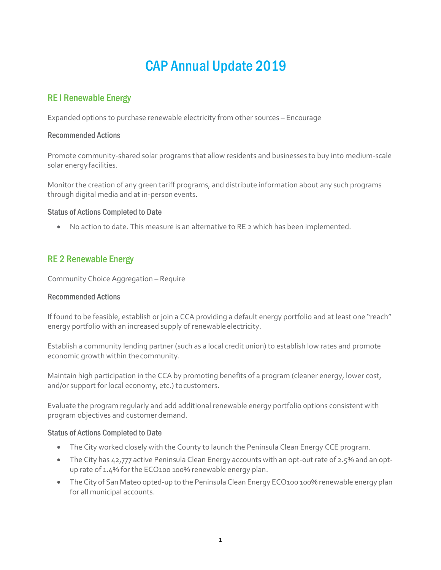# CAP Annual Update 2019

# RE I Renewable Energy

Expanded options to purchase renewable electricity from other sources – Encourage

### Recommended Actions

Promote community-shared solar programs that allow residents and businesses to buy into medium-scale solar energyfacilities.

Monitor the creation of any green tariff programs, and distribute information about any such programs through digital media and at in-personevents.

### Status of Actions Completed to Date

• No action to date. This measure is an alternative to RE 2 which has been implemented.

# RE 2 Renewable Energy

Community Choice Aggregation – Require

### Recommended Actions

If found to be feasible, establish or join a CCA providing a default energy portfolio and at least one "reach" energy portfolio with an increased supply of renewable electricity.

Establish a community lending partner (such as a local credit union) to establish low rates and promote economic growth within thecommunity.

Maintain high participation in the CCA by promoting benefits of a program (cleaner energy, lower cost, and/or support for local economy, etc.) to customers.

Evaluate the program regularly and add additional renewable energy portfolio options consistent with program objectives and customer demand.

- The City worked closely with the County to launch the Peninsula Clean Energy CCE program.
- The City has 42,777 active Peninsula Clean Energy accounts with an opt-out rate of 2.5% and an optup rate of 1.4% for the ECO100 100% renewable energy plan.
- The City of San Mateo opted-up to the Peninsula Clean Energy ECO100 100% renewable energy plan for all municipal accounts.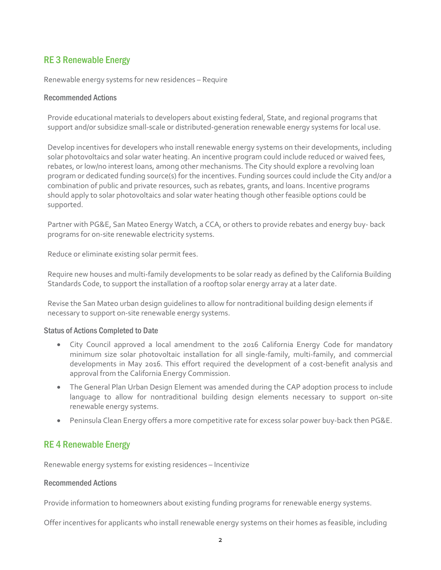# RE 3 Renewable Energy

Renewable energy systems for new residences – Require

### Recommended Actions

Provide educational materials to developers about existing federal, State, and regional programs that support and/or subsidize small-scale or distributed-generation renewable energy systems for local use.

Develop incentives for developers who install renewable energy systems on their developments, including solar photovoltaics and solar water heating. An incentive program could include reduced or waived fees, rebates, or low/no interest loans, among other mechanisms. The City should explore a revolving loan program or dedicated funding source(s) for the incentives. Funding sources could include the City and/or a combination of public and private resources, such as rebates, grants, and loans. Incentive programs should apply to solar photovoltaics and solar water heating though other feasible options could be supported.

Partner with PG&E, San Mateo Energy Watch, a CCA, or others to provide rebates and energy buy- back programs for on-site renewable electricity systems.

Reduce or eliminate existing solar permit fees.

Require new houses and multi-family developments to be solar ready as defined by the California Building Standards Code, to support the installation of a rooftop solar energy array at a later date.

Revise the San Mateo urban design guidelines to allow for nontraditional building design elements if necessary to support on-site renewable energy systems.

### Status of Actions Completed to Date

- City Council approved a local amendment to the 2016 California Energy Code for mandatory minimum size solar photovoltaic installation for all single-family, multi-family, and commercial developments in May 2016. This effort required the development of a cost-benefit analysis and approval from the California Energy Commission.
- The General Plan Urban Design Element was amended during the CAP adoption process to include language to allow for nontraditional building design elements necessary to support on-site renewable energy systems.
- Peninsula Clean Energy offers a more competitive rate for excess solar power buy-back then PG&E.

# RE 4 Renewable Energy

Renewable energy systems for existing residences – Incentivize

### Recommended Actions

Provide information to homeowners about existing funding programs for renewable energy systems.

Offer incentives for applicants who install renewable energy systems on their homes as feasible, including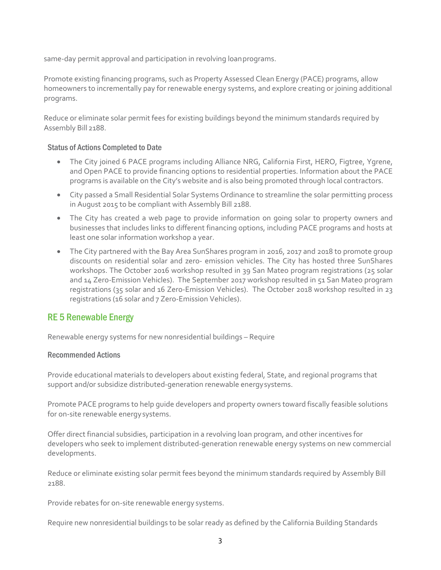same-day permit approval and participation in revolving loanprograms.

Promote existing financing programs, such as Property Assessed Clean Energy (PACE) programs, allow homeowners to incrementally pay for renewable energy systems, and explore creating or joining additional programs.

Reduce or eliminate solar permit fees for existing buildings beyond the minimum standards required by Assembly Bill 2188.

### Status of Actions Completed to Date

- The City joined 6 PACE programs including Alliance NRG, California First, HERO, Figtree, Ygrene, and Open PACE to provide financing options to residential properties. Information about the PACE programs is available on the City's website and is also being promoted through local contractors.
- City passed a Small Residential Solar Systems Ordinance to streamline the solar permitting process in August 2015 to be compliant with Assembly Bill 2188.
- The City has created a web page to provide information on going solar to property owners and businesses that includes links to different financing options, including PACE programs and hosts at least one solar information workshop a year.
- The City partnered with the Bay Area SunShares program in 2016, 2017 and 2018 to promote group discounts on residential solar and zero- emission vehicles. The City has hosted three SunShares workshops. The October 2016 workshop resulted in 39 San Mateo program registrations (25 solar and 14 Zero-Emission Vehicles). The September 2017 workshop resulted in 51 San Mateo program registrations (35 solar and 16 Zero-Emission Vehicles). The October 2018 workshop resulted in 23 registrations (16 solar and 7 Zero-Emission Vehicles).

# RE 5 Renewable Energy

Renewable energy systems for new nonresidential buildings – Require

### Recommended Actions

Provide educational materials to developers about existing federal, State, and regional programs that support and/or subsidize distributed-generation renewable energysystems.

Promote PACE programs to help guide developers and property owners toward fiscally feasible solutions for on-site renewable energysystems.

Offer direct financial subsidies, participation in a revolving loan program, and other incentives for developers who seek to implement distributed-generation renewable energy systems on new commercial developments.

Reduce or eliminate existing solar permit fees beyond the minimum standards required by Assembly Bill 2188.

Provide rebates for on-site renewable energy systems.

Require new nonresidential buildings to be solar ready as defined by the California Building Standards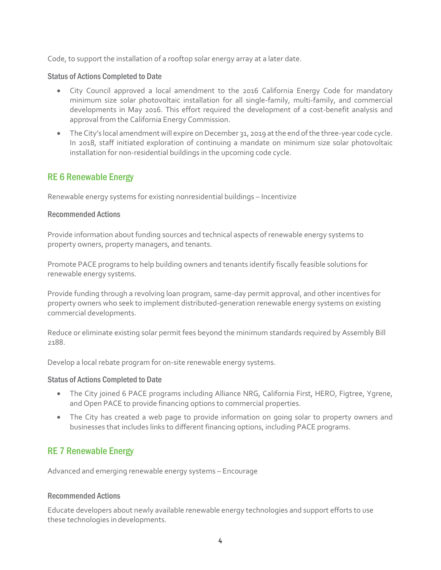Code, to support the installation of a rooftop solar energy array at a later date.

### Status of Actions Completed to Date

- City Council approved a local amendment to the 2016 California Energy Code for mandatory minimum size solar photovoltaic installation for all single-family, multi-family, and commercial developments in May 2016. This effort required the development of a cost-benefit analysis and approval from the California Energy Commission.
- The City's local amendment will expire on December 31, 2019 atthe end of the three-year code cycle. In 2018, staff initiated exploration of continuing a mandate on minimum size solar photovoltaic installation for non-residential buildings in the upcoming code cycle.

### RE 6 Renewable Energy

Renewable energy systems for existing nonresidential buildings – Incentivize

### Recommended Actions

Provide information about funding sources and technical aspects of renewable energy systems to property owners, property managers, and tenants.

Promote PACE programs to help building owners and tenants identify fiscally feasible solutions for renewable energy systems.

Provide funding through a revolving loan program, same-day permit approval, and other incentives for property owners who seek to implement distributed-generation renewable energy systems on existing commercial developments.

Reduce or eliminate existing solar permit fees beyond the minimum standards required by Assembly Bill 2188.

Develop a local rebate program for on-site renewable energy systems.

### Status of Actions Completed to Date

- The City joined 6 PACE programs including Alliance NRG, California First, HERO, Figtree, Ygrene, and Open PACE to provide financing options to commercial properties.
- The City has created a web page to provide information on going solar to property owners and businesses that includes links to different financing options, including PACE programs.

# RE 7 Renewable Energy

Advanced and emerging renewable energy systems – Encourage

### Recommended Actions

Educate developers about newly available renewable energy technologies and support efforts to use these technologies indevelopments.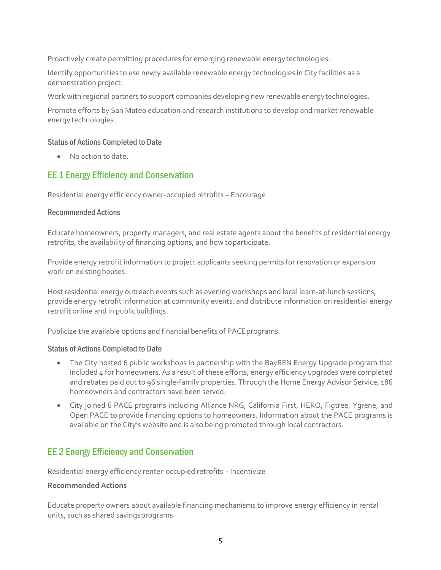Proactively create permitting procedures for emerging renewable energytechnologies.

Identify opportunities to use newly available renewable energy technologies in City facilities as a demonstration project.

Work with regional partners to support companies developing new renewable energytechnologies.

Promote efforts by San Mateo education and research institutions to develop and market renewable energy technologies.

### Status of Actions Completed to Date

• No action to date.

# EE 1 Energy Efficiency and Conservation

Residential energy efficiency owner-occupied retrofits – Encourage

### Recommended Actions

Educate homeowners, property managers, and real estate agents about the benefits of residential energy retrofits, the availability of financing options, and how toparticipate.

Provide energy retrofit information to project applicants seeking permits for renovation or expansion work on existing houses.

Host residential energy outreach events such as evening workshops and local learn-at-lunch sessions, provide energy retrofit information at community events, and distribute information on residential energy retrofit online and in public buildings.

Publicize the available options and financial benefits of PACE programs.

### Status of Actions Completed to Date

- The City hosted 6 public workshops in partnership with the BayREN Energy Upgrade program that included 4 for homeowners. As a result of these efforts, energy efficiency upgrades were completed and rebates paid out to 96 single-family properties. Through the Home Energy Advisor Service, 186 homeowners and contractors have been served.
- City joined 6 PACE programs including Alliance NRG, California First, HERO, Figtree, Ygrene, and Open PACE to provide financing options to homeowners. Information about the PACE programs is available on the City's website and is also being promoted through local contractors.

# EE 2 Energy Efficiency and Conservation

Residential energy efficiency renter-occupied retrofits – Incentivize

### **Recommended Actions**

Educate property owners about available financing mechanisms to improve energy efficiency in rental units, such as shared savings programs.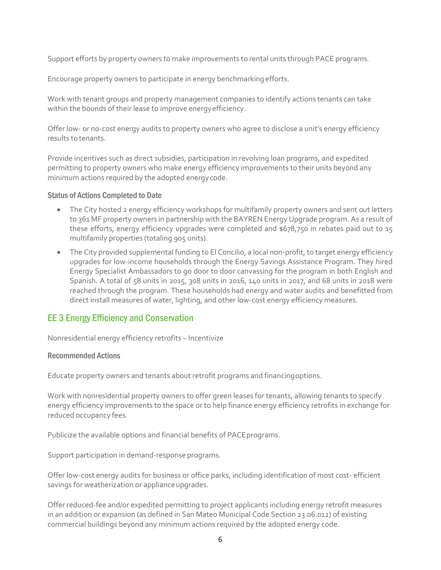Support efforts by property owners to make improvements to rental units through PACE programs.

Encourage property owners to participate in energy benchmarkingefforts.

Work with tenant groups and property management companies to identify actions tenants can take within the bounds of their lease to improve energyefficiency.

Offer low- or no-cost energy audits to property owners who agree to disclose a unit's energy efficiency results to tenants.

Provide incentives such as direct subsidies, participation in revolving loan programs, and expedited permitting to property owners who make energy efficiency improvements to their units beyond any minimum actions required by the adopted energycode.

### Status of Actions Completed to Date

- The City hosted 2 energy efficiency workshops for multifamily property owners and sent out letters to 361 MF property owners in partnership with the BAYREN Energy Upgrade program. As a result of these efforts, energy efficiency upgrades were completed and \$678,750 in rebates paid out to 15 multifamily properties (totaling 905 units).
- The City provided supplemental funding to El Concilio, a local non-profit, to target energy efficiency upgrades for low-income households through the Energy Savings Assistance Program. They hired Energy Specialist Ambassadors to go door to door canvassing for the program in both English and Spanish. A total of 58 units in 2015, 308 units in 2016, 140 units in 2017, and 68 units in 2018 were reached through the program. These households had energy and water audits and benefitted from direct install measures of water, lighting, and other low-cost energy efficiency measures.

# EE 3 Energy Efficiency and Conservation

Nonresidential energy efficiency retrofits – Incentivize

### Recommended Actions

Educate property owners and tenants about retrofit programs and financingoptions.

Work with nonresidential property owners to offer green leases for tenants, allowing tenants to specify energy efficiency improvements to the space or to help finance energy efficiency retrofits in exchange for reduced occupancy fees.

Publicize the available options and financial benefits of PACE programs.

Support participation in demand-response programs.

Offer low-cost energy audits for business or office parks, including identification of most cost- efficient savings for weatherization or appliance upgrades.

Offer reduced-fee and/or expedited permitting to project applicants including energy retrofit measures in an addition or expansion (as defined in San Mateo Municipal Code Section 23.06.012) of existing commercial buildings beyond any minimum actions required by the adopted energy code.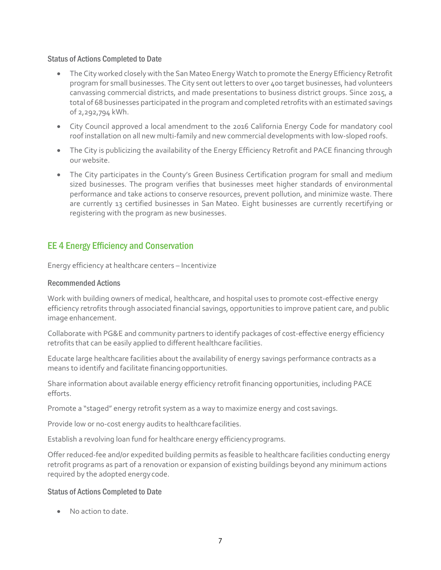### Status of Actions Completed to Date

- The City worked closely with the San Mateo Energy Watch to promote the Energy Efficiency Retrofit program for small businesses. The City sent out letters to over 400 target businesses, had volunteers canvassing commercial districts, and made presentations to business district groups. Since 2015, a total of 68 businesses participated in the program and completed retrofits with an estimated savings of 2,292,794 kWh.
- City Council approved a local amendment to the 2016 California Energy Code for mandatory cool roof installation on all new multi-family and new commercial developments with low-sloped roofs.
- The City is publicizing the availability of the Energy Efficiency Retrofit and PACE financing through our website.
- The City participates in the County's Green Business Certification program for small and medium sized businesses. The program verifies that businesses meet higher standards of environmental performance and take actions to conserve resources, prevent pollution, and minimize waste. There are currently 13 certified businesses in San Mateo. Eight businesses are currently recertifying or registering with the program as new businesses.

# EE 4 Energy Efficiency and Conservation

Energy efficiency at healthcare centers – Incentivize

### Recommended Actions

Work with building owners of medical, healthcare, and hospital uses to promote cost-effective energy efficiency retrofits through associated financial savings, opportunities to improve patient care, and public image enhancement.

Collaborate with PG&E and community partners to identify packages of cost-effective energy efficiency retrofits that can be easily applied to different healthcare facilities.

Educate large healthcare facilities about the availability of energy savings performance contracts as a means to identify and facilitate financingopportunities.

Share information about available energy efficiency retrofit financing opportunities, including PACE efforts.

Promote a "staged" energy retrofit system as a way to maximize energy and cost savings.

Provide low or no-cost energy audits to healthcarefacilities.

Establish a revolving loan fund for healthcare energy efficiencyprograms.

Offer reduced-fee and/or expedited building permits as feasible to healthcare facilities conducting energy retrofit programs as part of a renovation or expansion of existing buildings beyond any minimum actions required by the adopted energycode.

### Status of Actions Completed to Date

• No action to date.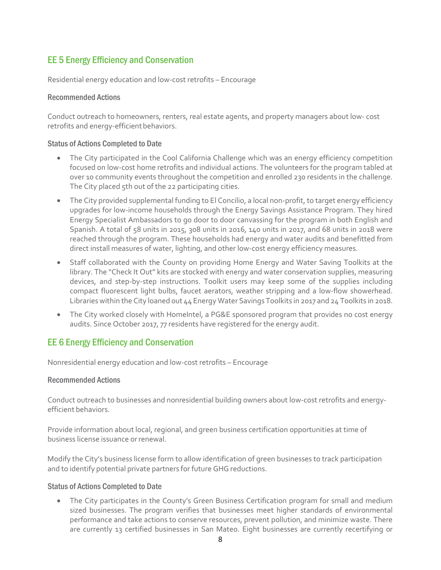# EE 5 Energy Efficiency and Conservation

Residential energy education and low-cost retrofits – Encourage

### Recommended Actions

Conduct outreach to homeowners, renters, real estate agents, and property managers about low- cost retrofits and energy-efficient behaviors.

### Status of Actions Completed to Date

- The City participated in the Cool California Challenge which was an energy efficiency competition focused on low-cost home retrofits and individual actions. The volunteers for the program tabled at over 10 community events throughout the competition and enrolled 230 residents in the challenge. The City placed 5th out of the 22 participating cities.
- The City provided supplemental funding to El Concilio, a local non-profit, to target energy efficiency upgrades for low-income households through the Energy Savings Assistance Program. They hired Energy Specialist Ambassadors to go door to door canvassing for the program in both English and Spanish. A total of 58 units in 2015, 308 units in 2016, 140 units in 2017, and 68 units in 2018 were reached through the program. These households had energy and water audits and benefitted from direct install measures of water, lighting, and other low-cost energy efficiency measures.
- Staff collaborated with the County on providing Home Energy and Water Saving Toolkits at the library. The "Check It Out" kits are stocked with energy and water conservation supplies, measuring devices, and step-by-step instructions. Toolkit users may keep some of the supplies including compact fluorescent light bulbs, faucet aerators, weather stripping and a low-flow showerhead. Libraries within the City loaned out 44 Energy Water Savings Toolkits in 2017 and 24 Toolkits in 2018.
- The City worked closely with HomeIntel, a PG&E sponsored program that provides no cost energy audits. Since October 2017, 77 residents have registered for the energy audit.

# EE 6 Energy Efficiency and Conservation

Nonresidential energy education and low-cost retrofits – Encourage

### Recommended Actions

Conduct outreach to businesses and nonresidential building owners about low-cost retrofits and energyefficient behaviors.

Provide information about local, regional, and green business certification opportunities at time of business license issuance orrenewal.

Modify the City's business license form to allow identification of green businesses to track participation and to identify potential private partners for future GHG reductions.

### Status of Actions Completed to Date

• The City participates in the County's Green Business Certification program for small and medium sized businesses. The program verifies that businesses meet higher standards of environmental performance and take actions to conserve resources, prevent pollution, and minimize waste. There are currently 13 certified businesses in San Mateo. Eight businesses are currently recertifying or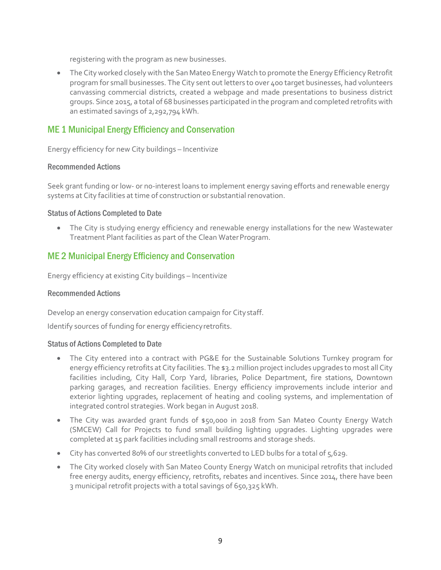registering with the program as new businesses.

• The City worked closely with the San Mateo Energy Watch to promote the Energy Efficiency Retrofit program for small businesses. The City sent out letters to over 400 target businesses, had volunteers canvassing commercial districts, created a webpage and made presentations to business district groups. Since 2015, a total of 68 businesses participated in the program and completed retrofits with an estimated savings of 2,292,794 kWh.

# ME 1 Municipal Energy Efficiency and Conservation

Energy efficiency for new City buildings – Incentivize

### Recommended Actions

Seek grant funding or low- or no-interest loans to implement energy saving efforts and renewable energy systems at City facilities at time of construction or substantial renovation.

### Status of Actions Completed to Date

• The City is studying energy efficiency and renewable energy installations for the new Wastewater Treatment Plant facilities as part of the Clean WaterProgram.

# ME 2 Municipal Energy Efficiency and Conservation

Energy efficiency at existing City buildings – Incentivize

### Recommended Actions

Develop an energy conservation education campaign for Citystaff.

Identify sources of funding for energy efficiencyretrofits.

- The City entered into a contract with PG&E for the Sustainable Solutions Turnkey program for energy efficiency retrofits at City facilities. The \$3.2 million project includes upgrades to most all City facilities including, City Hall, Corp Yard, libraries, Police Department, fire stations, Downtown parking garages, and recreation facilities. Energy efficiency improvements include interior and exterior lighting upgrades, replacement of heating and cooling systems, and implementation of integrated control strategies. Work began in August 2018.
- The City was awarded grant funds of \$50,000 in 2018 from San Mateo County Energy Watch (SMCEW) Call for Projects to fund small building lighting upgrades. Lighting upgrades were completed at 15 park facilities including small restrooms and storage sheds.
- City has converted 80% of our streetlights converted to LED bulbs for a total of 5,629.
- The City worked closely with San Mateo County Energy Watch on municipal retrofits that included free energy audits, energy efficiency, retrofits, rebates and incentives. Since 2014, there have been 3 municipal retrofit projects with a total savings of 650,325 kWh.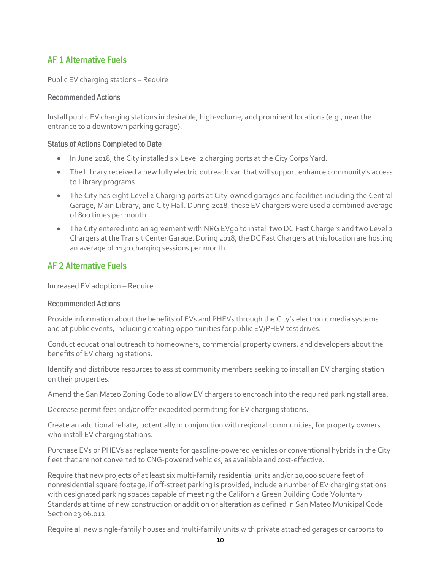# AF 1 Alternative Fuels

Public EV charging stations – Require

### Recommended Actions

Install public EV charging stations in desirable, high-volume, and prominent locations (e.g., near the entrance to a downtown parking garage).

### Status of Actions Completed to Date

- In June 2018, the City installed six Level 2 charging ports at the City Corps Yard.
- The Library received a new fully electric outreach van that will support enhance community's access to Library programs.
- The City has eight Level 2 Charging ports at City-owned garages and facilities including the Central Garage, Main Library, and City Hall. During 2018, these EV chargers were used a combined average of 800 times per month.
- The City entered into an agreement with NRG EVgo to install two DC Fast Chargers and two Level 2 Chargers at the Transit Center Garage. During 2018, the DC Fast Chargers at this location are hosting an average of 1130 charging sessions per month.

# AF 2 Alternative Fuels

Increased EV adoption – Require

### Recommended Actions

Provide information about the benefits of EVs and PHEVs through the City's electronic media systems and at public events, including creating opportunities for public EV/PHEV testdrives.

Conduct educational outreach to homeowners, commercial property owners, and developers about the benefits of EV charging stations.

Identify and distribute resources to assist community members seeking to install an EV charging station on their properties.

Amend the San Mateo Zoning Code to allow EV chargers to encroach into the required parking stall area.

Decrease permit fees and/or offer expedited permitting for EV chargingstations.

Create an additional rebate, potentially in conjunction with regional communities, for property owners who install EV charging stations.

Purchase EVs or PHEVs as replacements for gasoline-powered vehicles or conventional hybrids in the City fleet that are not converted to CNG-powered vehicles, as available and cost-effective.

Require that new projects of at least six multi-family residential units and/or 10,000 square feet of nonresidential square footage, if off-street parking is provided, include a number of EV charging stations with designated parking spaces capable of meeting the California Green Building Code Voluntary Standards at time of new construction or addition or alteration as defined in San Mateo Municipal Code Section 23.06.012.

Require all new single-family houses and multi-family units with private attached garages or carports to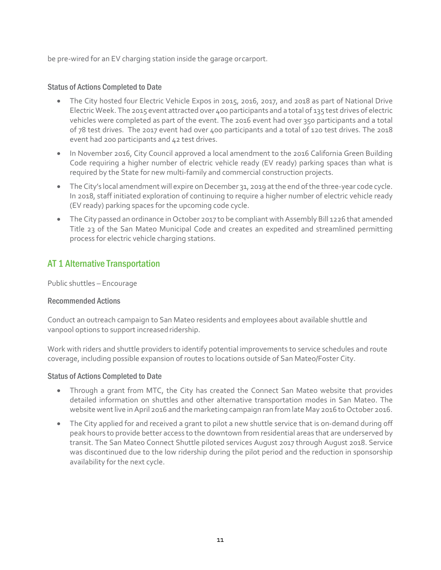be pre-wired for an EV charging station inside the garage orcarport.

### Status of Actions Completed to Date

- The City hosted four Electric Vehicle Expos in 2015, 2016, 2017, and 2018 as part of National Drive Electric Week. The 2015 event attracted over 400 participants and a total of 135 test drives of electric vehicles were completed as part of the event. The 2016 event had over 350 participants and a total of 78 test drives. The 2017 event had over 400 participants and a total of 120 test drives. The 2018 event had 200 participants and 42 test drives.
- In November 2016, City Council approved a local amendment to the 2016 California Green Building Code requiring a higher number of electric vehicle ready (EV ready) parking spaces than what is required by the State for new multi-family and commercial construction projects.
- The City's local amendment will expire on December 31, 2019 at the end of the three-year code cycle. In 2018, staff initiated exploration of continuing to require a higher number of electric vehicle ready (EV ready) parking spaces for the upcoming code cycle.
- The City passed an ordinance in October 2017 to be compliant with Assembly Bill 1226 that amended Title 23 of the San Mateo Municipal Code and creates an expedited and streamlined permitting process for electric vehicle charging stations.

# AT 1 Alternative Transportation

Public shuttles – Encourage

### Recommended Actions

Conduct an outreach campaign to San Mateo residents and employees about available shuttle and vanpool options to support increased ridership.

Work with riders and shuttle providers to identify potential improvements to service schedules and route coverage, including possible expansion of routes to locations outside of San Mateo/Foster City.

- Through a grant from MTC, the City has created the Connect San Mateo website that provides detailed information on shuttles and other alternative transportation modes in San Mateo. The website went live in April 2016 and the marketing campaign ran from late May 2016 to October 2016.
- The City applied for and received a grant to pilot a new shuttle service that is on-demand during off peak hours to provide better access to the downtown from residential areas that are underserved by transit. The San Mateo Connect Shuttle piloted services August 2017 through August 2018. Service was discontinued due to the low ridership during the pilot period and the reduction in sponsorship availability for the next cycle.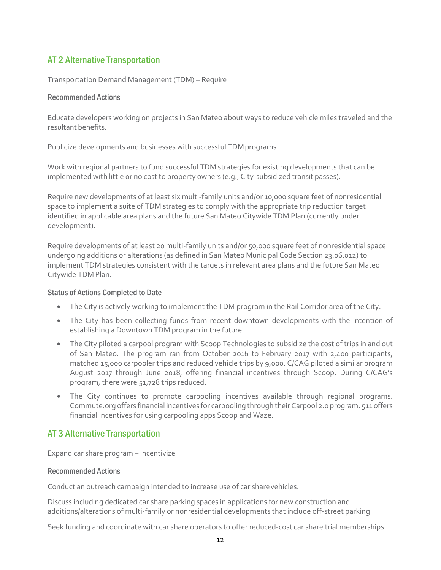# AT 2 Alternative Transportation

Transportation Demand Management (TDM) – Require

### Recommended Actions

Educate developers working on projects in San Mateo about ways to reduce vehicle miles traveled and the resultant benefits.

Publicize developments and businesses with successful TDM programs.

Work with regional partners to fund successful TDM strategies for existing developments that can be implemented with little or no cost to property owners (e.g., City-subsidized transit passes).

Require new developments of at least six multi-family units and/or 10,000 square feet of nonresidential space to implement a suite of TDM strategies to comply with the appropriate trip reduction target identified in applicable area plans and the future San Mateo Citywide TDM Plan (currently under development).

Require developments of at least 20 multi-family units and/or 50,000 square feet of nonresidential space undergoing additions or alterations (as defined in San Mateo Municipal Code Section 23.06.012) to implement TDM strategies consistent with the targets in relevant area plans and the future San Mateo Citywide TDM Plan.

### Status of Actions Completed to Date

- The City is actively working to implement the TDM program in the Rail Corridor area of the City.
- The City has been collecting funds from recent downtown developments with the intention of establishing a Downtown TDM program in the future.
- The City piloted a carpool program with Scoop Technologies to subsidize the cost of trips in and out of San Mateo. The program ran from October 2016 to February 2017 with 2,400 participants, matched 15,000 carpooler trips and reduced vehicle trips by 9,000. C/CAG piloted a similar program August 2017 through June 2018, offering financial incentives through Scoop. During C/CAG's program, there were 51,728 trips reduced.
- The City continues to promote carpooling incentives available through regional programs. Commute.org offers financial incentives for carpooling through their Carpool 2.0 program. 511 offers financial incentives for using carpooling apps Scoop and Waze.

# AT 3 Alternative Transportation

Expand car share program – Incentivize

### Recommended Actions

Conduct an outreach campaign intended to increase use of car share vehicles.

Discuss including dedicated car share parking spaces in applications for new construction and additions/alterations of multi-family or nonresidential developments that include off-street parking.

Seek funding and coordinate with car share operators to offer reduced-cost car share trial memberships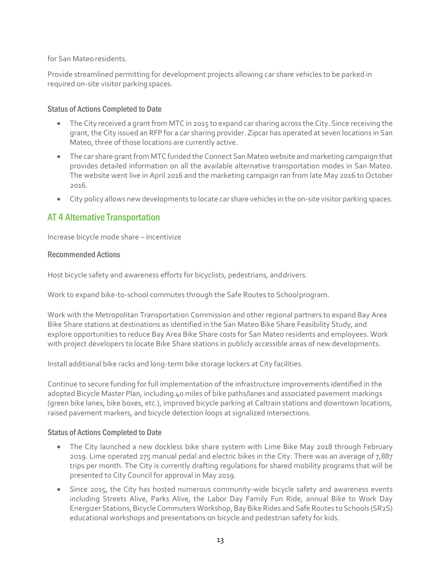for San Mateo residents.

Provide streamlined permitting for development projects allowing car share vehicles to be parked in required on-site visitor parking spaces.

### Status of Actions Completed to Date

- The City received a grant from MTC in 2015 to expand car sharing across the City. Since receiving the grant, the City issued an RFP for a car sharing provider. Zipcar has operated at seven locations in San Mateo, three of those locations are currently active.
- The car share grant from MTC funded the Connect San Mateo website and marketing campaign that provides detailed information on all the available alternative transportation modes in San Mateo. The website went live in April 2016 and the marketing campaign ran from late May 2016 to October 2016.
- City policy allows new developments to locate car share vehicles in the on-site visitor parking spaces.

# AT 4 Alternative Transportation

Increase bicycle mode share – Incentivize

### Recommended Actions

Host bicycle safety and awareness efforts for bicyclists, pedestrians, anddrivers.

Work to expand bike-to-school commutes through the Safe Routes to Schoolprogram.

Work with the Metropolitan Transportation Commission and other regional partners to expand Bay Area Bike Share stations at destinations as identified in the San Mateo Bike Share Feasibility Study, and explore opportunities to reduce Bay Area Bike Share costs for San Mateo residents and employees. Work with project developers to locate Bike Share stations in publicly accessible areas of new developments.

Install additional bike racks and long-term bike storage lockers at City facilities.

Continue to secure funding for full implementation of the infrastructure improvements identified in the adopted Bicycle Master Plan, including 40 miles of bike paths/lanes and associated pavement markings (green bike lanes, bike boxes, etc.), improved bicycle parking at Caltrain stations and downtown locations, raised pavement markers, and bicycle detection loops at signalized intersections.

- The City launched a new dockless bike share system with Lime Bike May 2018 through February 2019. Lime operated 275 manual pedal and electric bikes in the City. There was an average of 7,887 trips per month. The City is currently drafting regulations for shared mobility programs that will be presented to City Council for approval in May 2019.
- Since 2015, the City has hosted numerous community-wide bicycle safety and awareness events including Streets Alive, Parks Alive, the Labor Day Family Fun Ride, annual Bike to Work Day Energizer Stations, Bicycle Commuters Workshop, Bay Bike Rides and Safe Routes to Schools (SR2S) educational workshops and presentations on bicycle and pedestrian safety for kids.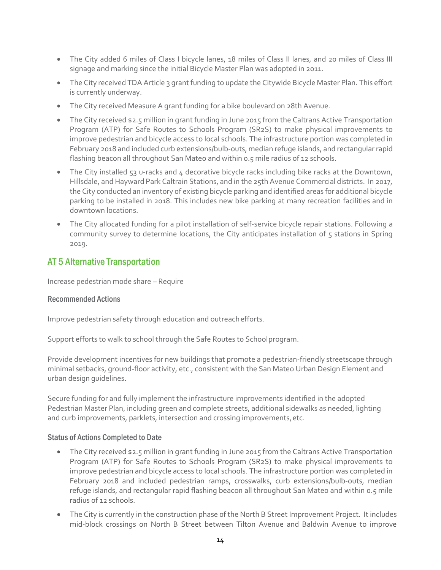- The City added 6 miles of Class I bicycle lanes, 18 miles of Class II lanes, and 20 miles of Class III signage and marking since the initial Bicycle Master Plan was adopted in 2011.
- The City received TDA Article 3 grant funding to update the Citywide Bicycle Master Plan. This effort is currently underway.
- The City received Measure A grant funding for a bike boulevard on 28th Avenue.
- The City received \$2.5 million in grant funding in June 2015 from the Caltrans Active Transportation Program (ATP) for Safe Routes to Schools Program (SR2S) to make physical improvements to improve pedestrian and bicycle access to local schools. The infrastructure portion was completed in February 2018 and included curb extensions/bulb-outs, median refuge islands, and rectangular rapid flashing beacon all throughout San Mateo and within 0.5 mile radius of 12 schools.
- The City installed 53 u-racks and 4 decorative bicycle racks including bike racks at the Downtown, Hillsdale, and Hayward Park Caltrain Stations, and in the 25th Avenue Commercial districts. In 2017, the City conducted an inventory of existing bicycle parking and identified areas for additional bicycle parking to be installed in 2018. This includes new bike parking at many recreation facilities and in downtown locations.
- The City allocated funding for a pilot installation of self-service bicycle repair stations. Following a community survey to determine locations, the City anticipates installation of 5 stations in Spring 2019.

# AT 5 Alternative Transportation

Increase pedestrian mode share – Require

### Recommended Actions

Improve pedestrian safety through education and outreachefforts.

Support efforts to walk to school through the Safe Routes to Schoolprogram.

Provide development incentives for new buildings that promote a pedestrian-friendly streetscape through minimal setbacks, ground-floor activity, etc., consistent with the San Mateo Urban Design Element and urban design guidelines.

Secure funding for and fully implement the infrastructure improvements identified in the adopted Pedestrian Master Plan, including green and complete streets, additional sidewalks as needed, lighting and curb improvements, parklets, intersection and crossing improvements, etc.

- The City received \$2.5 million in grant funding in June 2015 from the Caltrans Active Transportation Program (ATP) for Safe Routes to Schools Program (SR2S) to make physical improvements to improve pedestrian and bicycle access to local schools. The infrastructure portion was completed in February 2018 and included pedestrian ramps, crosswalks, curb extensions/bulb-outs, median refuge islands, and rectangular rapid flashing beacon all throughout San Mateo and within 0.5 mile radius of 12 schools.
- The City is currently in the construction phase of the North B Street Improvement Project. It includes mid-block crossings on North B Street between Tilton Avenue and Baldwin Avenue to improve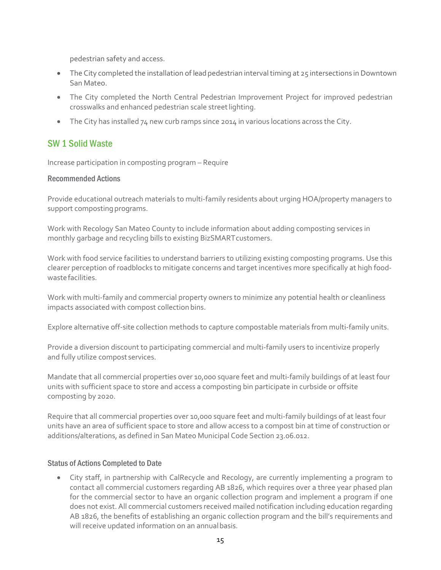pedestrian safety and access.

- The City completed the installation of lead pedestrian interval timing at 25 intersections in Downtown San Mateo.
- The City completed the North Central Pedestrian Improvement Project for improved pedestrian crosswalks and enhanced pedestrian scale streetlighting.
- The City has installed 74 new curb ramps since 2014 in various locations across the City.

# SW 1 Solid Waste

Increase participation in composting program – Require

### Recommended Actions

Provide educational outreach materials to multi-family residents about urging HOA/property managers to support composting programs.

Work with Recology San Mateo County to include information about adding composting services in monthly garbage and recycling bills to existing BizSMARTcustomers.

Work with food service facilities to understand barriers to utilizing existing composting programs. Use this clearer perception of roadblocks to mitigate concerns and target incentives more specifically at high foodwastefacilities.

Work with multi-family and commercial property owners to minimize any potential health or cleanliness impacts associated with compost collection bins.

Explore alternative off-site collection methods to capture compostable materials from multi-family units.

Provide a diversion discount to participating commercial and multi-family users to incentivize properly and fully utilize compost services.

Mandate that all commercial properties over 10,000 square feet and multi-family buildings of at least four units with sufficient space to store and access a composting bin participate in curbside or offsite composting by 2020.

Require that all commercial properties over 10,000 square feet and multi-family buildings of at least four units have an area of sufficient space to store and allow access to a compost bin at time of construction or additions/alterations, as defined in San Mateo Municipal Code Section 23.06.012.

### Status of Actions Completed to Date

• City staff, in partnership with CalRecycle and Recology, are currently implementing a program to contact all commercial customers regarding AB 1826, which requires over a three year phased plan for the commercial sector to have an organic collection program and implement a program if one does not exist. All commercial customers received mailed notification including education regarding AB 1826, the benefits of establishing an organic collection program and the bill's requirements and will receive updated information on an annualbasis.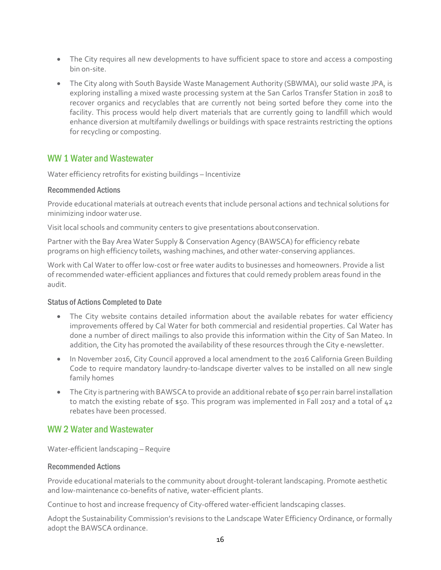- The City requires all new developments to have sufficient space to store and access a composting bin on-site.
- The City along with South Bayside Waste Management Authority (SBWMA), our solid waste JPA, is exploring installing a mixed waste processing system at the San Carlos Transfer Station in 2018 to recover organics and recyclables that are currently not being sorted before they come into the facility. This process would help divert materials that are currently going to landfill which would enhance diversion at multifamily dwellings or buildings with space restraints restricting the options for recycling or composting.

### WW 1 Water and Wastewater

Water efficiency retrofits for existing buildings – Incentivize

### Recommended Actions

Provide educational materials at outreach events that include personal actions and technical solutions for minimizing indoor wateruse.

Visit local schools and community centers to give presentations aboutconservation.

Partner with the Bay Area Water Supply & Conservation Agency (BAWSCA) for efficiency rebate programs on high efficiency toilets, washing machines, and other water-conserving appliances.

Work with Cal Water to offer low-cost or free water audits to businesses and homeowners. Provide a list of recommended water-efficient appliances and fixtures that could remedy problem areas found in the audit.

### Status of Actions Completed to Date

- The City website contains detailed information about the available rebates for water efficiency improvements offered by Cal Water for both commercial and residential properties. Cal Water has done a number of direct mailings to also provide this information within the City of San Mateo. In addition, the City has promoted the availability of these resources through the City e-newsletter.
- In November 2016, City Council approved a local amendment to the 2016 California Green Building Code to require mandatory laundry-to-landscape diverter valves to be installed on all new single family homes
- The City is partnering with BAWSCA to provide an additional rebate of \$50 per rain barrel installation to match the existing rebate of \$50. This program was implemented in Fall 2017 and a total of 42 rebates have been processed.

### WW 2 Water and Wastewater

Water-efficient landscaping – Require

### Recommended Actions

Provide educational materials to the community about drought-tolerant landscaping. Promote aesthetic and low-maintenance co-benefits of native, water-efficient plants.

Continue to host and increase frequency of City-offered water-efficient landscaping classes.

Adopt the Sustainability Commission's revisions to the Landscape Water Efficiency Ordinance, or formally adopt the BAWSCA ordinance.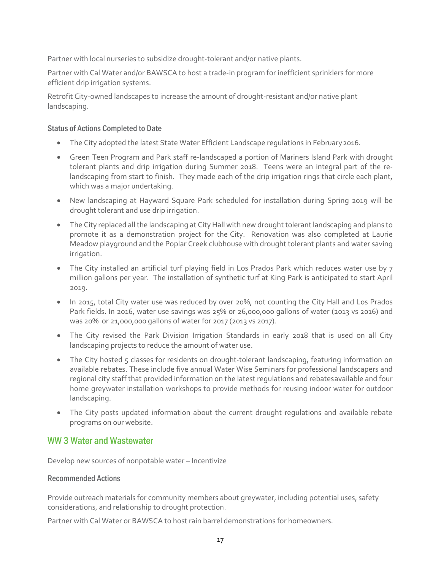Partner with local nurseries to subsidize drought-tolerant and/or native plants.

Partner with Cal Water and/or BAWSCA to host a trade-in program for inefficient sprinklers for more efficient drip irrigation systems.

Retrofit City-owned landscapes to increase the amount of drought-resistant and/or native plant landscaping.

### Status of Actions Completed to Date

- The City adopted the latest State Water Efficient Landscape regulations in February2016.
- Green Teen Program and Park staff re-landscaped a portion of Mariners Island Park with drought tolerant plants and drip irrigation during Summer 2018. Teens were an integral part of the relandscaping from start to finish. They made each of the drip irrigation rings that circle each plant, which was a major undertaking.
- New landscaping at Hayward Square Park scheduled for installation during Spring 2019 will be drought tolerant and use drip irrigation.
- The City replaced all the landscaping at City Hall with new drought tolerant landscaping and plans to promote it as a demonstration project for the City. Renovation was also completed at Laurie Meadow playground and the Poplar Creek clubhouse with drought tolerant plants and water saving irrigation.
- The City installed an artificial turf playing field in Los Prados Park which reduces water use by 7 million gallons per year. The installation of synthetic turf at King Park is anticipated to start April 2019.
- In 2015, total City water use was reduced by over 20%, not counting the City Hall and Los Prados Park fields. In 2016, water use savings was 25% or 26,000,000 gallons of water (2013 vs 2016) and was 20% or 21,000,000 gallons of water for 2017 (2013 vs 2017).
- The City revised the Park Division Irrigation Standards in early 2018 that is used on all City landscaping projects to reduce the amount of water use.
- The City hosted 5 classes for residents on drought-tolerant landscaping, featuring information on available rebates. These include five annual Water Wise Seminars for professional landscapers and regional city staff that provided information on the latest regulations and rebatesavailable and four home greywater installation workshops to provide methods for reusing indoor water for outdoor landscaping.
- The City posts updated information about the current drought regulations and available rebate programs on our website.

# WW 3 Water and Wastewater

Develop new sources of nonpotable water – Incentivize

### Recommended Actions

Provide outreach materials for community members about greywater, including potential uses, safety considerations, and relationship to drought protection.

Partner with Cal Water or BAWSCA to host rain barrel demonstrations for homeowners.